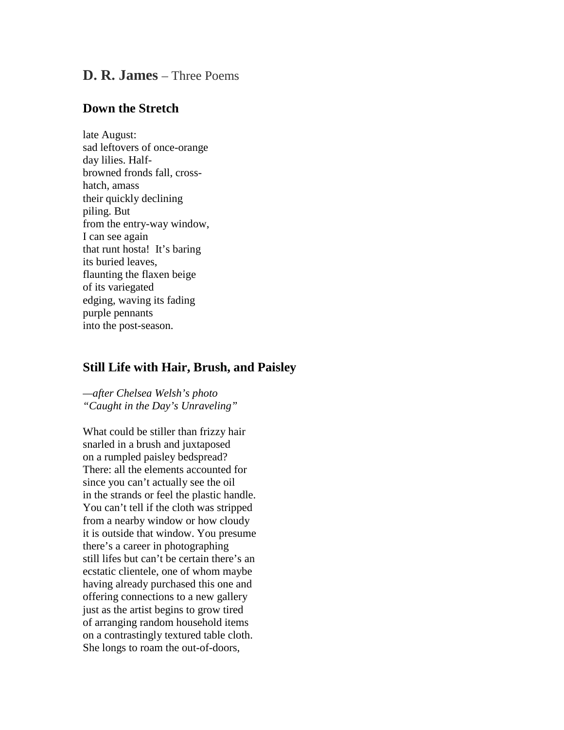## **D. R. James** – Three Poems

## **Down the Stretch**

late August: sad leftovers of once-orange day lilies. Halfbrowned fronds fall, crosshatch, amass their quickly declining piling. But from the entry-way window, I can see again that runt hosta! It's baring its buried leaves, flaunting the flaxen beige of its variegated edging, waving its fading purple pennants into the post-season.

## **Still Life with Hair, Brush, and Paisley**

*—after Chelsea Welsh's photo "Caught in the Day's Unraveling"*

What could be stiller than frizzy hair snarled in a brush and juxtaposed on a rumpled paisley bedspread? There: all the elements accounted for since you can't actually see the oil in the strands or feel the plastic handle. You can't tell if the cloth was stripped from a nearby window or how cloudy it is outside that window. You presume there's a career in photographing still lifes but can't be certain there's an ecstatic clientele, one of whom maybe having already purchased this one and offering connections to a new gallery just as the artist begins to grow tired of arranging random household items on a contrastingly textured table cloth. She longs to roam the out-of-doors,